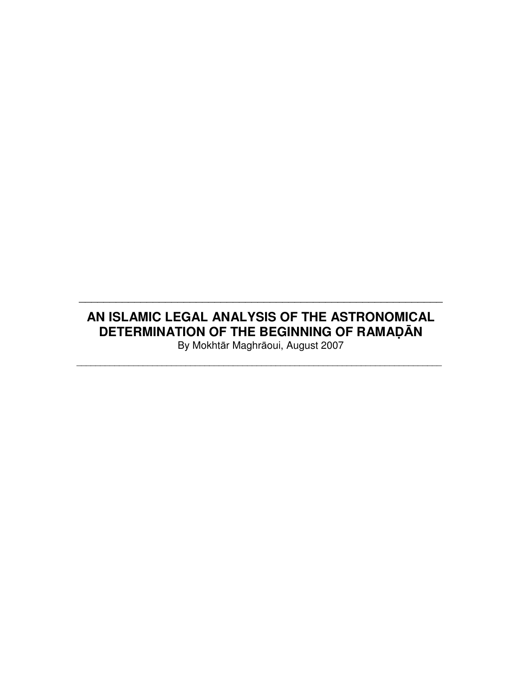# **AN ISLAMIC LEGAL ANALYSIS OF THE ASTRONOMICAL DETERMINATION OF THE BEGINNING OF RAMAD**Ā**N**

\_\_\_\_\_\_\_\_\_\_\_\_\_\_\_\_\_\_\_\_\_\_\_\_\_\_\_\_\_\_\_\_\_\_\_\_\_\_\_\_\_\_\_\_\_\_\_\_\_\_\_\_\_\_\_\_\_\_\_

By Mokhtār Maghrāoui, August 2007 \_\_\_\_\_\_\_\_\_\_\_\_\_\_\_\_\_\_\_\_\_\_\_\_\_\_\_\_\_\_\_\_\_\_\_\_\_\_\_\_\_\_\_\_\_\_\_\_\_\_\_\_\_\_\_\_\_\_\_\_\_\_\_\_\_\_\_\_\_\_\_\_\_\_\_\_\_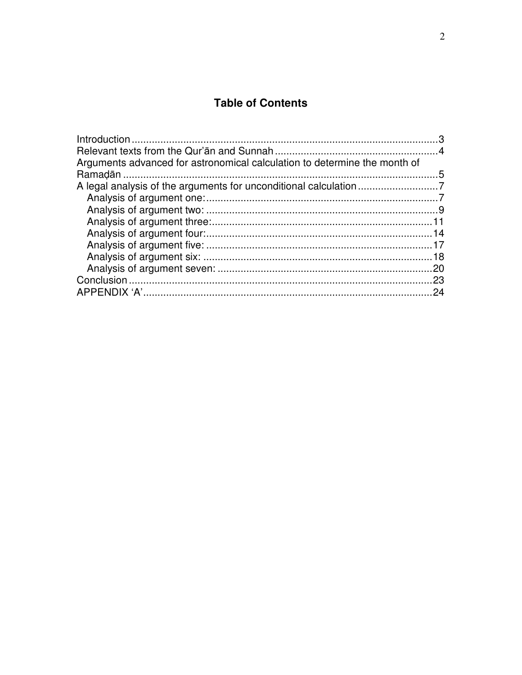# **Table of Contents**

| Arguments advanced for astronomical calculation to determine the month of |     |
|---------------------------------------------------------------------------|-----|
|                                                                           |     |
|                                                                           |     |
|                                                                           |     |
|                                                                           |     |
|                                                                           |     |
|                                                                           |     |
|                                                                           |     |
|                                                                           |     |
|                                                                           |     |
|                                                                           |     |
|                                                                           | .24 |
|                                                                           |     |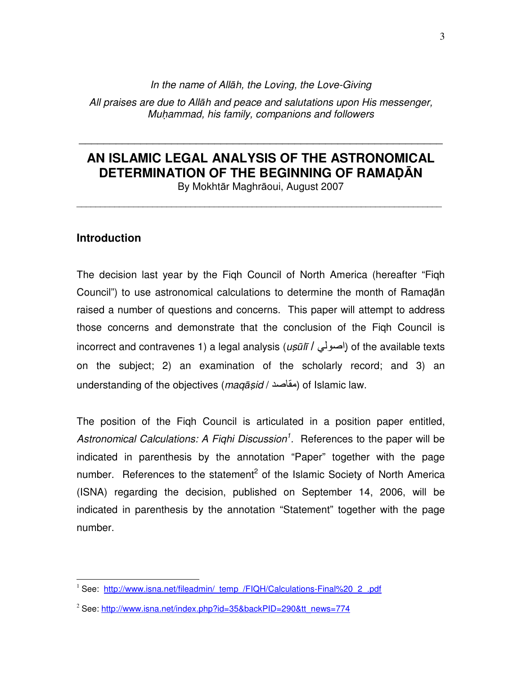In the name of Allāh, the Loving, the Love-Giving

All praises are due to Allāh and peace and salutations upon His messenger, Muhammad, his family, companions and followers

# **AN ISLAMIC LEGAL ANALYSIS OF THE ASTRONOMICAL DETERMINATION OF THE BEGINNING OF RAMAD**Ā**N**

\_\_\_\_\_\_\_\_\_\_\_\_\_\_\_\_\_\_\_\_\_\_\_\_\_\_\_\_\_\_\_\_\_\_\_\_\_\_\_\_\_\_\_\_\_\_\_\_\_\_\_\_\_\_\_\_\_\_\_

By Mokhtār Maghrāoui, August 2007 \_\_\_\_\_\_\_\_\_\_\_\_\_\_\_\_\_\_\_\_\_\_\_\_\_\_\_\_\_\_\_\_\_\_\_\_\_\_\_\_\_\_\_\_\_\_\_\_\_\_\_\_\_\_\_\_\_\_\_\_\_\_\_\_\_\_\_\_\_\_\_\_\_\_\_\_\_

## **Introduction**

 $\overline{a}$ 

The decision last year by the Fiqh Council of North America (hereafter "Fiqh Council") to use astronomical calculations to determine the month of Ramadān raised a number of questions and concerns. This paper will attempt to address those concerns and demonstrate that the conclusion of the Fiqh Council is incorrect and contravenes 1) a legal analysis (*usūlī | احتو*لّى) of the available texts on the subject; 2) an examination of the scholarly record; and 3) an understanding of the objectives (maqāṣid / مقاصد) of Islamic law.

The position of the Fiqh Council is articulated in a position paper entitled, Astronomical Calculations: A Fighi Discussion<sup>1</sup>. References to the paper will be indicated in parenthesis by the annotation "Paper" together with the page number. References to the statement<sup>2</sup> of the Islamic Society of North America (ISNA) regarding the decision, published on September 14, 2006, will be indicated in parenthesis by the annotation "Statement" together with the page number.

<sup>&</sup>lt;sup>1</sup> See: http://www.isna.net/fileadmin/\_temp\_/FIQH/Calculations-Final%20\_2\_.pdf

<sup>&</sup>lt;sup>2</sup> See: http://www.isna.net/index.php?id=35&backPID=290&tt\_news=774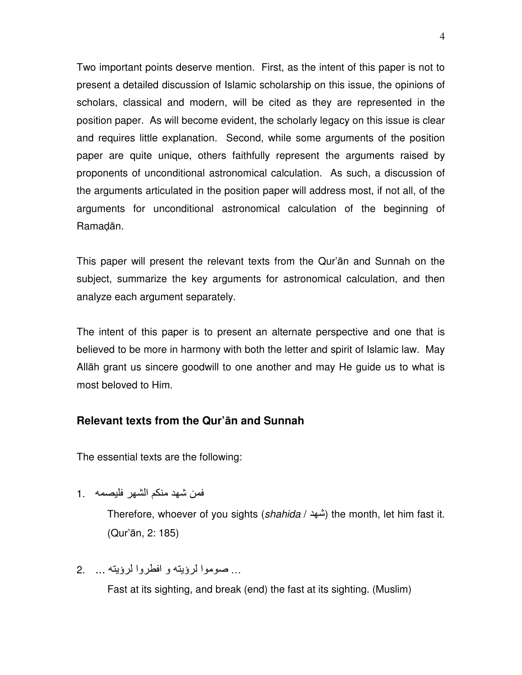Two important points deserve mention. First, as the intent of this paper is not to present a detailed discussion of Islamic scholarship on this issue, the opinions of scholars, classical and modern, will be cited as they are represented in the position paper. As will become evident, the scholarly legacy on this issue is clear and requires little explanation. Second, while some arguments of the position paper are quite unique, others faithfully represent the arguments raised by proponents of unconditional astronomical calculation. As such, a discussion of the arguments articulated in the position paper will address most, if not all, of the arguments for unconditional astronomical calculation of the beginning of Ramadān.

This paper will present the relevant texts from the Qur'ān and Sunnah on the subject, summarize the key arguments for astronomical calculation, and then analyze each argument separately.

The intent of this paper is to present an alternate perspective and one that is believed to be more in harmony with both the letter and spirit of Islamic law. May Allāh grant us sincere goodwill to one another and may He guide us to what is most beloved to Him.

## **Relevant texts from the Qur'**ā**n and Sunnah**

The essential texts are the following:

فمن شهد منكم الشهر فليصمه . 1

Therefore, whoever of you sights (*shahida* / شهد) the month, let him fast it. (Qur'ān, 2: 185)

... صوموا لرؤيته و افطروا لرؤيته ... 2.

Fast at its sighting, and break (end) the fast at its sighting. (Muslim)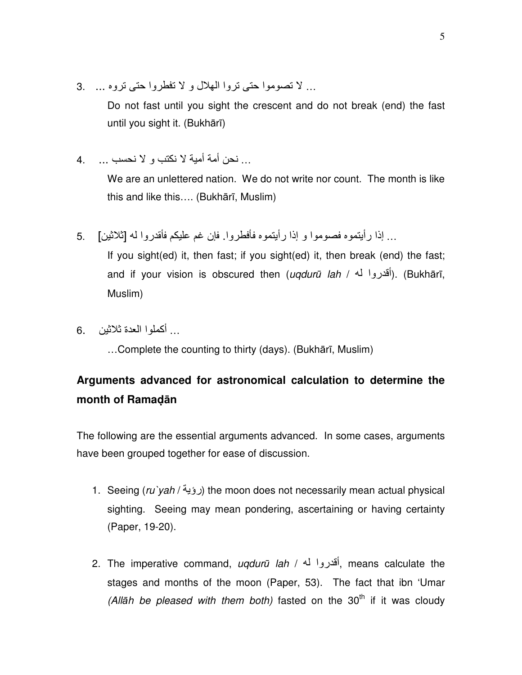... لا تصوموا حتى تروا الملال و لا تفطروا حتى تروه ... 3.

Do not fast until you sight the crescent and do not break (end) the fast until you sight it. (Bukhārī)

... نحن أمة أمية لا نكتب و لا نحسب ... 4.

We are an unlettered nation. We do not write nor count. The month is like this and like this…. (Bukhārī, Muslim)

... إذا رأيتموه فصوموا و إذا رأيتموه فأفطروا. فإن غم عليكم فأقدروا له [ثلاثين] . 5

If you sight(ed) it, then fast; if you sight(ed) it, then break (end) the fast; and if your vision is obscured then (*uqdurū lah /* أقدروا له). (Bukhārī, Muslim)

... أكملوا العدة ثلاثين 6.

…Complete the counting to thirty (days). (Bukhārī, Muslim)

# **Arguments advanced for astronomical calculation to determine the month of Ramad**ā**n**

The following are the essential arguments advanced. In some cases, arguments have been grouped together for ease of discussion.

- 1. Seeing (ru`vah / رؤية) the moon does not necessarily mean actual physical sighting. Seeing may mean pondering, ascertaining or having certainty (Paper, 19-20).
- 2. The imperative command, *uqdurū lah / أ*قدروا له, means calculate the stages and months of the moon (Paper, 53). The fact that ibn 'Umar (Allāh be pleased with them both) fasted on the  $30<sup>th</sup>$  if it was cloudy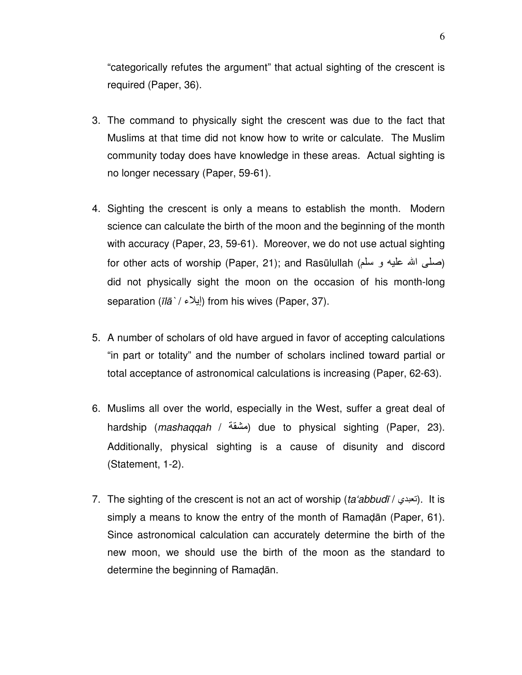"categorically refutes the argument" that actual sighting of the crescent is required (Paper, 36).

- 3. The command to physically sight the crescent was due to the fact that Muslims at that time did not know how to write or calculate. The Muslim community today does have knowledge in these areas. Actual sighting is no longer necessary (Paper, 59-61).
- 4. Sighting the crescent is only a means to establish the month. Modern science can calculate the birth of the moon and the beginning of the month with accuracy (Paper, 23, 59-61). Moreover, we do not use actual sighting for other acts of worship (Paper, 21); and Rasūlullah (صلَّى الله عليه و سلَّم) did not physically sight the moon on the occasion of his month-long separation ( $\overline{I}$ ابِلاء) from his wives (Paper, 37).
- 5. A number of scholars of old have argued in favor of accepting calculations "in part or totality" and the number of scholars inclined toward partial or total acceptance of astronomical calculations is increasing (Paper, 62-63).
- 6. Muslims all over the world, especially in the West, suffer a great deal of hardship (mashaqqah / مشقة) due to physical sighting (Paper, 23). Additionally, physical sighting is a cause of disunity and discord (Statement, 1-2).
- 7. The sighting of the crescent is not an act of worship (ta abbudī / التعبدي). It is simply a means to know the entry of the month of Ramadān (Paper, 61). Since astronomical calculation can accurately determine the birth of the new moon, we should use the birth of the moon as the standard to determine the beginning of Ramadān.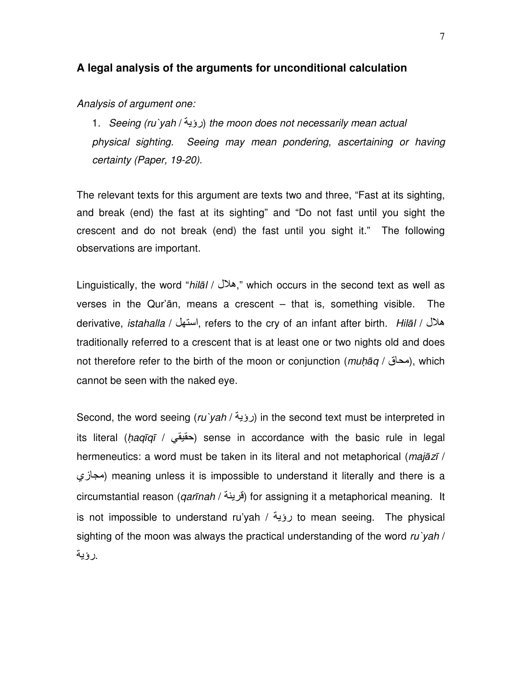### **A legal analysis of the arguments for unconditional calculation**

Analysis of argument one:

1. Seeing (ru`yah / رؤية) the moon does not necessarily mean actual physical sighting. Seeing may mean pondering, ascertaining or having certainty (Paper, 19-20).

The relevant texts for this argument are texts two and three, "Fast at its sighting, and break (end) the fast at its sighting" and "Do not fast until you sight the crescent and do not break (end) the fast until you sight it." The following observations are important.

Linguistically, the word "hilal / هلال," which occurs in the second text as well as verses in the Qur'ān, means a crescent – that is, something visible. The derivative, *istahalla / ا*ستهل / refers to the cry of an infant after birth. *Hilāl / هلا*ل traditionally referred to a crescent that is at least one or two nights old and does not therefore refer to the birth of the moon or conjunction (*muḥāq / محاق)*, which cannot be seen with the naked eye.

Second, the word seeing (ru`yah / رؤية ) in the second text must be interpreted in its literal (haqīqī / حقيقي) sense in accordance with the basic rule in legal hermeneutics: a word must be taken in its literal and not metaphorical (*majāzī* / مجازي) meaning unless it is impossible to understand it literally and there is a circumstantial reason (*qarīnah / قر*ينة) for assigning it a metaphorical meaning. It is not impossible to understand ru'yah / رؤية to mean seeing. The physical sighting of the moon was always the practical understanding of the word  $\mu\gamma$  vah / .رؤیة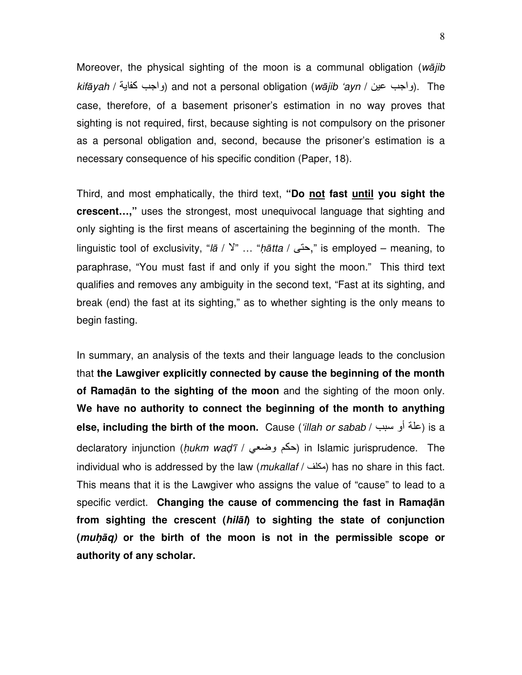Moreover, the physical sighting of the moon is a communal obligation (wājib  $k$ ifāyah / رواجب كفاية) and not a personal obligation (wājib 'ayn / رواجب عين). The case, therefore, of a basement prisoner's estimation in no way proves that sighting is not required, first, because sighting is not compulsory on the prisoner as a personal obligation and, second, because the prisoner's estimation is a necessary consequence of his specific condition (Paper, 18).

Third, and most emphatically, the third text, **"Do not fast until you sight the crescent…,"** uses the strongest, most unequivocal language that sighting and only sighting is the first means of ascertaining the beginning of the month. The linguistic tool of exclusivity, "la / <sup>y</sup>" ... "hatta / حتى," is employed – meaning, to paraphrase, "You must fast if and only if you sight the moon." This third text qualifies and removes any ambiguity in the second text, "Fast at its sighting, and break (end) the fast at its sighting," as to whether sighting is the only means to begin fasting.

In summary, an analysis of the texts and their language leads to the conclusion that **the Lawgiver explicitly connected by cause the beginning of the month of Ramad**ā**n to the sighting of the moon** and the sighting of the moon only. **We have no authority to connect the beginning of the month to anything**  else, including the birth of the moon. Cause ('illah or sabab / علة أو سبب / else, including the birth of the declaratory injunction (*hukm waḍ'ī / حكم و*ضع*ي)* in Islamic jurisprudence. The individual who is addressed by the law (*mukallaf* / مكلف) has no share in this fact. This means that it is the Lawgiver who assigns the value of "cause" to lead to a specific verdict. **Changing the cause of commencing the fast in Ramad**ā**n from sighting the crescent (hil**ā**l) to sighting the state of conjunction (muh**-ā**q) or the birth of the moon is not in the permissible scope or authority of any scholar.**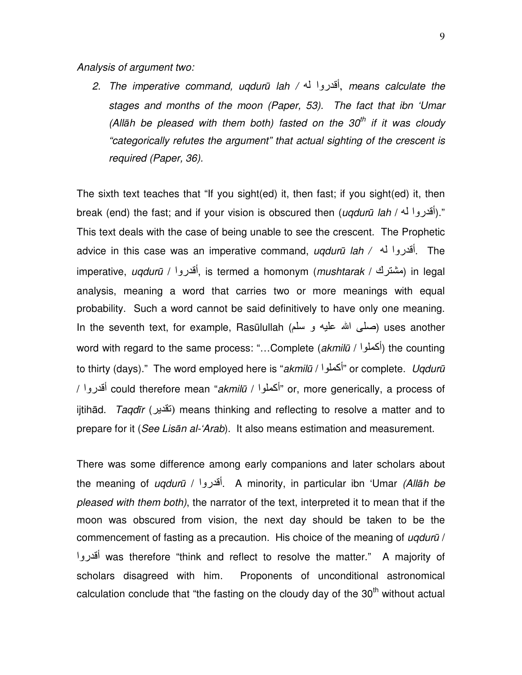Analysis of argument two:

2. The imperative command, uqdurū lah / أقدروا له, means calculate the stages and months of the moon (Paper, 53). The fact that ibn 'Umar (Allah be pleased with them both) fasted on the 30<sup>th</sup> if it was cloudy "categorically refutes the argument" that actual sighting of the crescent is required (Paper, 36).

The sixth text teaches that "If you sight(ed) it, then fast; if you sight(ed) it, then break (end) the fast; and if your vision is obscured then (*uqdurū lah / أقدرو*ا له)." This text deals with the case of being unable to see the crescent. The Prophetic advice in this case was an imperative command, uqdurū lah / - وا أ. The imperative, *uqdurū | أ*قدروا), is termed a homonym (*mushtarak | مشتر*ك) in legal analysis, meaning a word that carries two or more meanings with equal probability. Such a word cannot be said definitively to have only one meaning. In the seventh text, for example, Rasūlullah (صلى الله عليه و سلم) uses another word with regard to the same process: "...Complete (akmilū / أكملوا) the counting to thirty (days)." The word employed here is "akmilū / أكملوا" or complete. Ugdurū / أقدروا / could therefore mean "akmilū / المحلوا / gr. more generically, a process of ijtihād. *Taqdīr* (تَقْدِير) means thinking and reflecting to resolve a matter and to prepare for it (See Lisān al-'Arab). It also means estimation and measurement.

There was some difference among early companions and later scholars about the meaning of *ugdurū* / أقدروا . A minority, in particular ibn 'Umar *(Allāh be* pleased with them both), the narrator of the text, interpreted it to mean that if the moon was obscured from vision, the next day should be taken to be the commencement of fasting as a precaution. His choice of the meaning of uqdurū / أقدروا was therefore "think and reflect to resolve the matter." A majority of scholars disagreed with him. Proponents of unconditional astronomical calculation conclude that "the fasting on the cloudy day of the  $30<sup>th</sup>$  without actual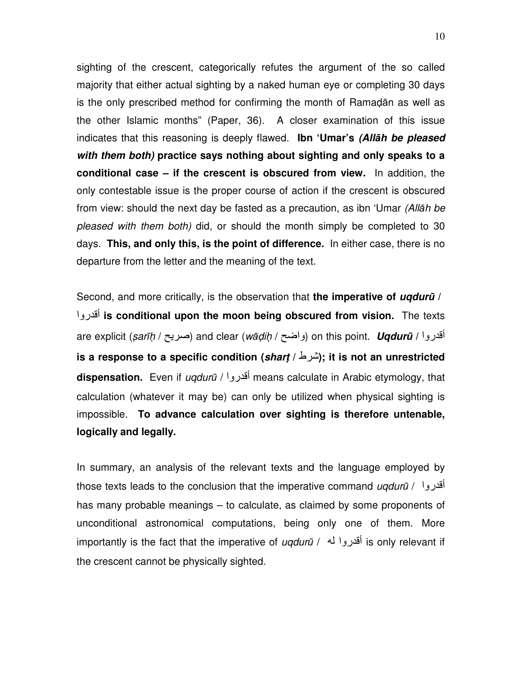sighting of the crescent, categorically refutes the argument of the so called majority that either actual sighting by a naked human eye or completing 30 days is the only prescribed method for confirming the month of Ramadān as well as the other Islamic months" (Paper, 36). A closer examination of this issue indicates that this reasoning is deeply flawed. **Ibn 'Umar's (All**ā**h be pleased with them both) practice says nothing about sighting and only speaks to a conditional case – if the crescent is obscured from view.** In addition, the only contestable issue is the proper course of action if the crescent is obscured from view: should the next day be fasted as a precaution, as ibn 'Umar (Allāh be pleased with them both) did, or should the month simply be completed to 30 days. **This, and only this, is the point of difference.** In either case, there is no departure from the letter and the meaning of the text.

Second, and more critically, is the observation that **the imperative of uqdur**ū **/** ا
Pأ **is conditional upon the moon being obscured from vision.** The texts are explicit (s*arīḥ / حبر*يح) and clear (*wāḍiḥ / و*اضح) on this point. *Uqdurū / أقدروا* **is a response to a specific condition (shart /** ط **;(it is not an unrestricted dispensation.** Even if ugdurū / أقدر و means calculate in Arabic etymology, that calculation (whatever it may be) can only be utilized when physical sighting is impossible. **To advance calculation over sighting is therefore untenable, logically and legally.**

In summary, an analysis of the relevant texts and the language employed by those texts leads to the conclusion that the imperative command *ugdurū* / <sup>1</sup> has many probable meanings – to calculate, as claimed by some proponents of unconditional astronomical computations, being only one of them. More importantly is the fact that the imperative of ugduru / أقدروا له / is only relevant if the crescent cannot be physically sighted.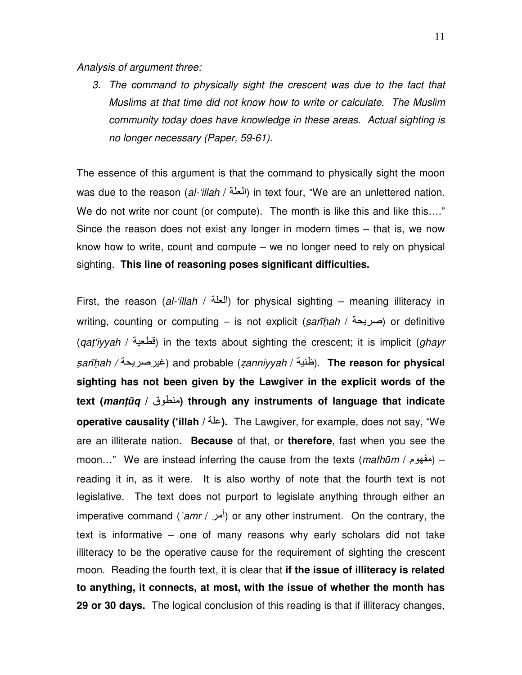Analysis of argument three:

3. The command to physically sight the crescent was due to the fact that Muslims at that time did not know how to write or calculate. The Muslim community today does have knowledge in these areas. Actual sighting is no longer necessary (Paper, 59-61).

The essence of this argument is that the command to physically sight the moon was due to the reason (al-'illah / العلة) in text four, "We are an unlettered nation. We do not write nor count (or compute). The month is like this and like this...." Since the reason does not exist any longer in modern times – that is, we now know how to write, count and compute – we no longer need to rely on physical sighting. **This line of reasoning poses significant difficulties.**

First, the reason (al-'illah / العلَّة) for physical sighting – meaning illiteracy in writing, counting or computing – is not explicit (sarīḥah / صریحة) or definitive (gat'iyyah / أقطعية) in the texts about sighting the crescent; it is implicit (ghayr sarīḥah / غيرصريحة) and probable (*zanniyyah / ظبانة*). **The reason for physical sighting has not been given by the Lawgiver in the explicit words of the text (mant**ū**q /** ق **( through any instruments of language that indicate operative causality ('illah /** /9**).** The Lawgiver, for example, does not say, "We are an illiterate nation. **Because** of that, or **therefore**, fast when you see the moon..." We are instead inferring the cause from the texts (*mathūm* / مفهوم) – reading it in, as it were. It is also worthy of note that the fourth text is not legislative. The text does not purport to legislate anything through either an imperative command (`amr / أمر) or any other instrument. On the contrary, the text is informative – one of many reasons why early scholars did not take illiteracy to be the operative cause for the requirement of sighting the crescent moon. Reading the fourth text, it is clear that **if the issue of illiteracy is related to anything, it connects, at most, with the issue of whether the month has 29 or 30 days.** The logical conclusion of this reading is that if illiteracy changes,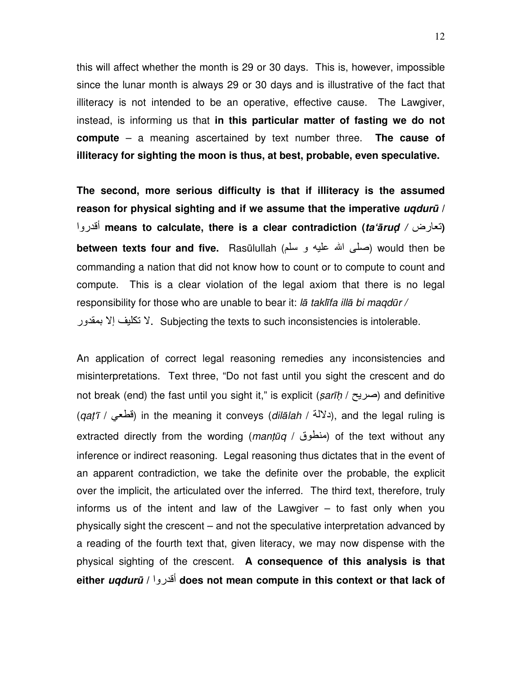this will affect whether the month is 29 or 30 days. This is, however, impossible since the lunar month is always 29 or 30 days and is illustrative of the fact that illiteracy is not intended to be an operative, effective cause. The Lawgiver, instead, is informing us that **in this particular matter of fasting we do not compute** – a meaning ascertained by text number three. **The cause of illiteracy for sighting the moon is thus, at best, probable, even speculative.** 

**The second, more serious difficulty is that if illiteracy is the assumed reason for physical sighting and if we assume that the imperative uqdur**ū **/** ا
Pأ **means to calculate, there is a clear contradiction (ta'**ā**rud /** رض Aت **( between texts four and five.** Rasūlullah (صلَّى الله عليه و سلَّم) would then be commanding a nation that did not know how to count or to compute to count and compute. This is a clear violation of the legal axiom that there is no legal responsibility for those who are unable to bear it: lā taklīfa illā bi maqdūr / لا تكليف إلا بمقدور Y. Subjecting the texts to such inconsistencies is intolerable.

An application of correct legal reasoning remedies any inconsistencies and misinterpretations. Text three, "Do not fast until you sight the crescent and do not break (end) the fast until you sight it," is explicit (sarīh / صریح) and definitive (aat'ī / فطعى) in the meaning it conveys (dilālah / دلالة), and the legal ruling is extracted directly from the wording (mantūq / منطوق) of the text without any inference or indirect reasoning. Legal reasoning thus dictates that in the event of an apparent contradiction, we take the definite over the probable, the explicit over the implicit, the articulated over the inferred. The third text, therefore, truly informs us of the intent and law of the Lawgiver – to fast only when you physically sight the crescent – and not the speculative interpretation advanced by a reading of the fourth text that, given literacy, we may now dispense with the physical sighting of the crescent. **A consequence of this analysis is that either uqdur**ū **/** ا
Pأ **does not mean compute in this context or that lack of**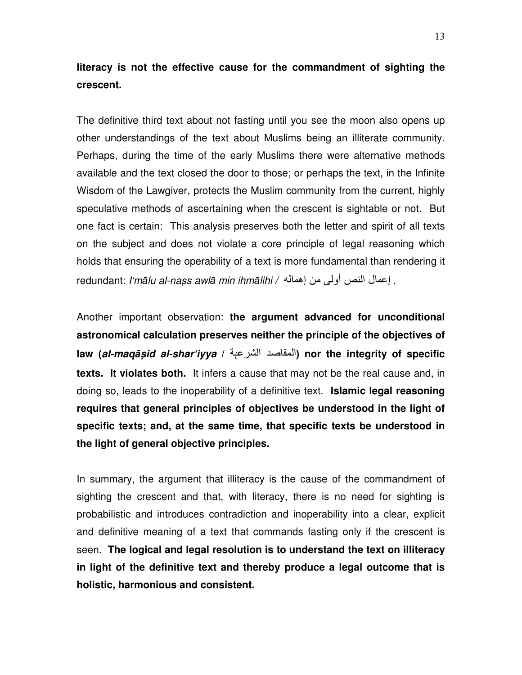## **literacy is not the effective cause for the commandment of sighting the crescent.**

The definitive third text about not fasting until you see the moon also opens up other understandings of the text about Muslims being an illiterate community. Perhaps, during the time of the early Muslims there were alternative methods available and the text closed the door to those; or perhaps the text, in the Infinite Wisdom of the Lawgiver, protects the Muslim community from the current, highly speculative methods of ascertaining when the crescent is sightable or not. But one fact is certain: This analysis preserves both the letter and spirit of all texts on the subject and does not violate a core principle of legal reasoning which holds that ensuring the operability of a text is more fundamental than rendering it redundant: I'mālu al-nass awlā min ihmālihi / اعمال النص أولى من إهماله.

Another important observation: **the argument advanced for unconditional astronomical calculation preserves neither the principle of the objectives of law (al-maq**ā**sid al-shar'iyya /** /ې9ا  ا **(nor the integrity of specific texts. It violates both.** It infers a cause that may not be the real cause and, in doing so, leads to the inoperability of a definitive text. **Islamic legal reasoning requires that general principles of objectives be understood in the light of specific texts; and, at the same time, that specific texts be understood in the light of general objective principles.**

In summary, the argument that illiteracy is the cause of the commandment of sighting the crescent and that, with literacy, there is no need for sighting is probabilistic and introduces contradiction and inoperability into a clear, explicit and definitive meaning of a text that commands fasting only if the crescent is seen. **The logical and legal resolution is to understand the text on illiteracy in light of the definitive text and thereby produce a legal outcome that is holistic, harmonious and consistent.**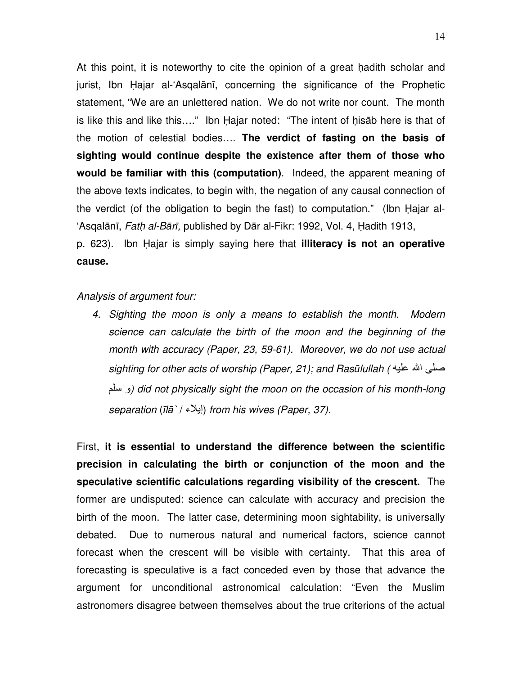At this point, it is noteworthy to cite the opinion of a great hadith scholar and jurist, Ibn Hajar al-'Asqalānī, concerning the significance of the Prophetic statement, "We are an unlettered nation. We do not write nor count. The month is like this and like this…." Ibn Hajar noted: "The intent of hisāb here is that of the motion of celestial bodies…. **The verdict of fasting on the basis of sighting would continue despite the existence after them of those who would be familiar with this (computation)**. Indeed, the apparent meaning of the above texts indicates, to begin with, the negation of any causal connection of the verdict (of the obligation to begin the fast) to computation." (Ibn Hajar al- 'Asqalānī, Fath al-Bārī, published by Dār al-Fikr: 1992, Vol. 4, Hadith 1913,

p. 623). Ibn Hajar is simply saying here that **illiteracy is not an operative cause.**

### Analysis of argument four:

4. Sighting the moon is only a means to establish the month. Modern science can calculate the birth of the moon and the beginning of the month with accuracy (Paper, 23, 59-61). Moreover, we do not use actual sighting for other acts of worship (Paper, 21); and Rasūlullah ( صلى الله عليه و سلم) did not physically sight the moon on the occasion of his month-long separation (īlā` / إيلاء) from his wives (Paper, 37).

First, **it is essential to understand the difference between the scientific precision in calculating the birth or conjunction of the moon and the speculative scientific calculations regarding visibility of the crescent.** The former are undisputed: science can calculate with accuracy and precision the birth of the moon. The latter case, determining moon sightability, is universally debated. Due to numerous natural and numerical factors, science cannot forecast when the crescent will be visible with certainty. That this area of forecasting is speculative is a fact conceded even by those that advance the argument for unconditional astronomical calculation: "Even the Muslim astronomers disagree between themselves about the true criterions of the actual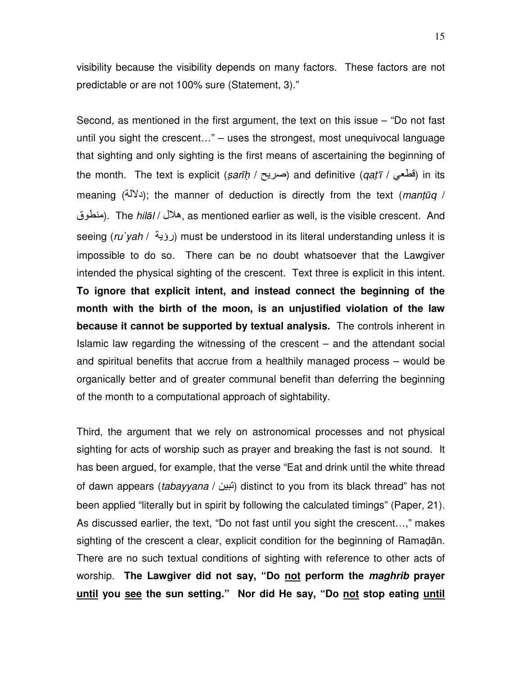visibility because the visibility depends on many factors. These factors are not predictable or are not 100% sure (Statement, 3)."

Second, as mentioned in the first argument, the text on this issue – "Do not fast until you sight the crescent…" – uses the strongest, most unequivocal language that sighting and only sighting is the first means of ascertaining the beginning of the month. The text is explicit (sarīḥ / صریح) and definitive (qat'ī / فطعي) in its meaning (< $\ell^{(k)}$ ); the manner of deduction is directly from the text (mantum / منطوق). The *hilāl /* هلال, as mentioned earlier as well, is the visible crescent. And seeing (ru`yah / رؤية) must be understood in its literal understanding unless it is impossible to do so. There can be no doubt whatsoever that the Lawgiver intended the physical sighting of the crescent. Text three is explicit in this intent. **To ignore that explicit intent, and instead connect the beginning of the month with the birth of the moon, is an unjustified violation of the law because it cannot be supported by textual analysis.** The controls inherent in Islamic law regarding the witnessing of the crescent – and the attendant social and spiritual benefits that accrue from a healthily managed process – would be organically better and of greater communal benefit than deferring the beginning of the month to a computational approach of sightability.

Third, the argument that we rely on astronomical processes and not physical sighting for acts of worship such as prayer and breaking the fast is not sound. It has been argued, for example, that the verse "Eat and drink until the white thread of dawn appears (tabayyana / نبين) distinct to you from its black thread" has not been applied "literally but in spirit by following the calculated timings" (Paper, 21). As discussed earlier, the text, "Do not fast until you sight the crescent…," makes sighting of the crescent a clear, explicit condition for the beginning of Ramadān. There are no such textual conditions of sighting with reference to other acts of worship. **The Lawgiver did not say, "Do not perform the maghrib prayer until you see the sun setting." Nor did He say, "Do not stop eating until**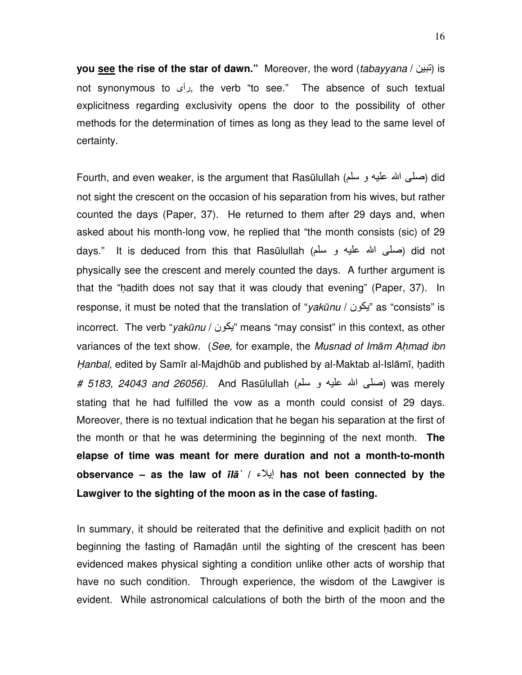**you <u>see</u> the rise of the star of dawn.**" Moreover, the word (tabayyana / آتبین is not synonymous to دأى, the verb "to see." The absence of such textual explicitness regarding exclusivity opens the door to the possibility of other methods for the determination of times as long as they lead to the same level of certainty.

Fourth, and even weaker, is the argument that Rasūlullah (صلى الله عليه و سلم) did not sight the crescent on the occasion of his separation from his wives, but rather counted the days (Paper, 37). He returned to them after 29 days and, when asked about his month-long vow, he replied that "the month consists (sic) of 29 days." It is deduced from this that Rasūlullah (صلى الله عليه و سلم) did not physically see the crescent and merely counted the days. A further argument is that the "hadith does not say that it was cloudy that evening" (Paper, 37). In response, it must be noted that the translation of "yakūnu / "نیکون "as "consists" is incorrect. The verb "yakūnu / "يكون" means "may consist" in this context, as other variances of the text show. (See, for example, the Musnad of Imām Ahmad ibn Hanbal, edited by Samīr al-Majdhūb and published by al-Maktab al-Islāmī, hadith # 5183, 24043 and 26056). And Rasūlullah (صلَّى الله عليه و سلَّم) was merely stating that he had fulfilled the vow as a month could consist of 29 days. Moreover, there is no textual indication that he began his separation at the first of the month or that he was determining the beginning of the next month. **The elapse of time was meant for mere duration and not a month-to-month observance – as the law of** ī**l**ā**` /** G)إ **has not been connected by the Lawgiver to the sighting of the moon as in the case of fasting.**

In summary, it should be reiterated that the definitive and explicit hadith on not beginning the fasting of Ramadān until the sighting of the crescent has been evidenced makes physical sighting a condition unlike other acts of worship that have no such condition. Through experience, the wisdom of the Lawgiver is evident. While astronomical calculations of both the birth of the moon and the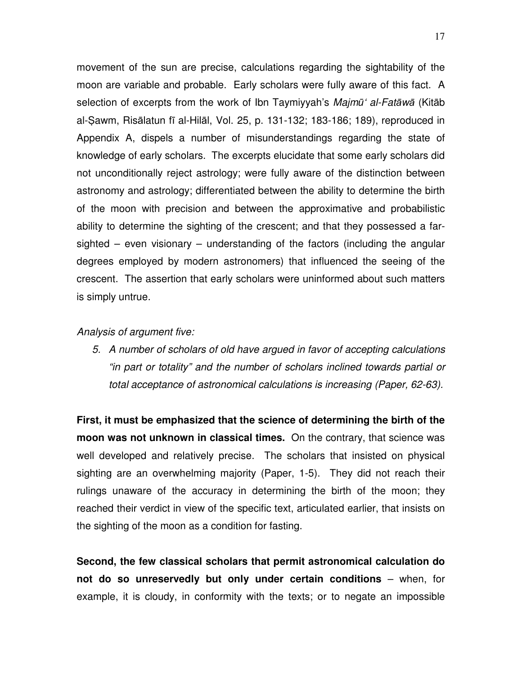movement of the sun are precise, calculations regarding the sightability of the moon are variable and probable. Early scholars were fully aware of this fact. A selection of excerpts from the work of Ibn Taymiyyah's Majmū' al-Fatāwā (Kitāb al-Sawm, Risālatun fī al-Hilāl, Vol. 25, p. 131-132; 183-186; 189), reproduced in Appendix A, dispels a number of misunderstandings regarding the state of knowledge of early scholars. The excerpts elucidate that some early scholars did not unconditionally reject astrology; were fully aware of the distinction between astronomy and astrology; differentiated between the ability to determine the birth of the moon with precision and between the approximative and probabilistic ability to determine the sighting of the crescent; and that they possessed a farsighted – even visionary – understanding of the factors (including the angular degrees employed by modern astronomers) that influenced the seeing of the crescent. The assertion that early scholars were uninformed about such matters is simply untrue.

### Analysis of argument five:

5. A number of scholars of old have argued in favor of accepting calculations "in part or totality" and the number of scholars inclined towards partial or total acceptance of astronomical calculations is increasing (Paper, 62-63).

**First, it must be emphasized that the science of determining the birth of the moon was not unknown in classical times.** On the contrary, that science was well developed and relatively precise. The scholars that insisted on physical sighting are an overwhelming majority (Paper, 1-5). They did not reach their rulings unaware of the accuracy in determining the birth of the moon; they reached their verdict in view of the specific text, articulated earlier, that insists on the sighting of the moon as a condition for fasting.

**Second, the few classical scholars that permit astronomical calculation do not do so unreservedly but only under certain conditions** – when, for example, it is cloudy, in conformity with the texts; or to negate an impossible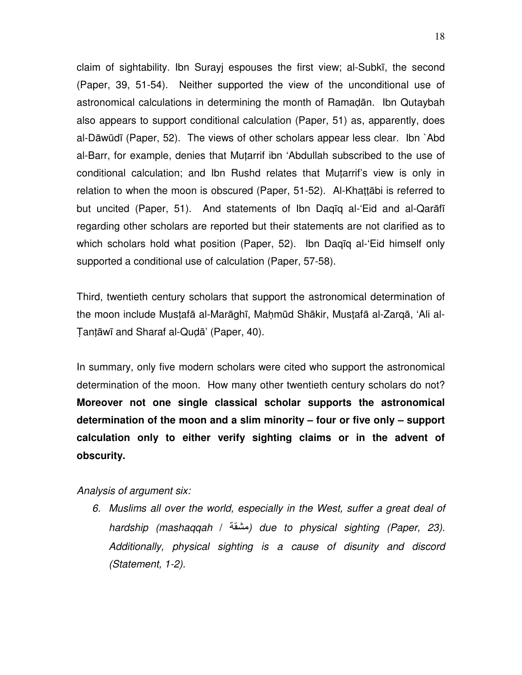claim of sightability. Ibn Surayj espouses the first view; al-Subkī, the second (Paper, 39, 51-54). Neither supported the view of the unconditional use of astronomical calculations in determining the month of Ramadān. Ibn Qutaybah also appears to support conditional calculation (Paper, 51) as, apparently, does al-Dāwūdī (Paper, 52). The views of other scholars appear less clear. Ibn `Abd al-Barr, for example, denies that Mutarrif ibn 'Abdullah subscribed to the use of conditional calculation; and Ibn Rushd relates that Mutarrif's view is only in relation to when the moon is obscured (Paper, 51-52). Al-Khattābi is referred to but uncited (Paper, 51). And statements of Ibn Daqīq al-'Eid and al-Qarāfī regarding other scholars are reported but their statements are not clarified as to which scholars hold what position (Paper, 52). Ibn Daqīq al-'Eid himself only supported a conditional use of calculation (Paper, 57-58).

Third, twentieth century scholars that support the astronomical determination of the moon include Mustafā al-Marāghī, Mahmūd Shākir, Mustafā al-Zarqā, 'Ali al-Tantāwī and Sharaf al-Qudā' (Paper, 40).

In summary, only five modern scholars were cited who support the astronomical determination of the moon. How many other twentieth century scholars do not? **Moreover not one single classical scholar supports the astronomical determination of the moon and a slim minority – four or five only – support calculation only to either verify sighting claims or in the advent of obscurity.**

Analysis of argument six:

6. Muslims all over the world, especially in the West, suffer a great deal of hardship (mashaqqah / /) due to physical sighting (Paper, 23). Additionally, physical sighting is a cause of disunity and discord (Statement, 1-2).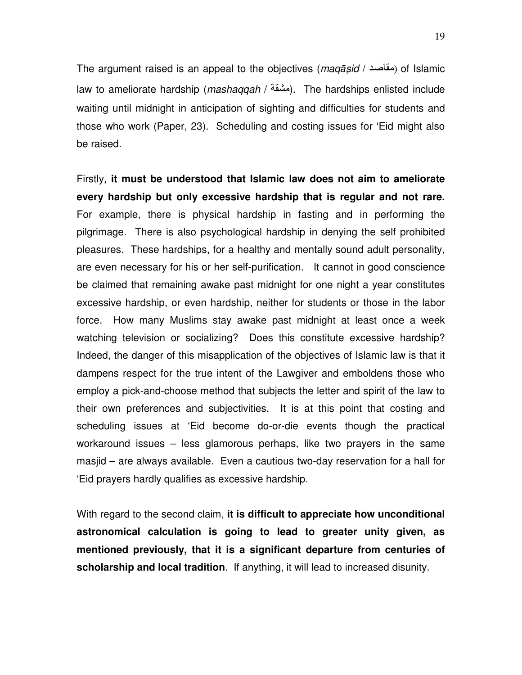The argument raised is an appeal to the objectives (maqasid / مقاصد) of Islamic law to ameliorate hardship (*mashaqqah / مَشَعّة)*. The hardships enlisted include waiting until midnight in anticipation of sighting and difficulties for students and those who work (Paper, 23). Scheduling and costing issues for 'Eid might also be raised.

Firstly, **it must be understood that Islamic law does not aim to ameliorate every hardship but only excessive hardship that is regular and not rare.** For example, there is physical hardship in fasting and in performing the pilgrimage. There is also psychological hardship in denying the self prohibited pleasures. These hardships, for a healthy and mentally sound adult personality, are even necessary for his or her self-purification. It cannot in good conscience be claimed that remaining awake past midnight for one night a year constitutes excessive hardship, or even hardship, neither for students or those in the labor force. How many Muslims stay awake past midnight at least once a week watching television or socializing? Does this constitute excessive hardship? Indeed, the danger of this misapplication of the objectives of Islamic law is that it dampens respect for the true intent of the Lawgiver and emboldens those who employ a pick-and-choose method that subjects the letter and spirit of the law to their own preferences and subjectivities. It is at this point that costing and scheduling issues at 'Eid become do-or-die events though the practical workaround issues – less glamorous perhaps, like two prayers in the same masjid – are always available. Even a cautious two-day reservation for a hall for 'Eid prayers hardly qualifies as excessive hardship.

With regard to the second claim, **it is difficult to appreciate how unconditional astronomical calculation is going to lead to greater unity given, as mentioned previously, that it is a significant departure from centuries of scholarship and local tradition**. If anything, it will lead to increased disunity.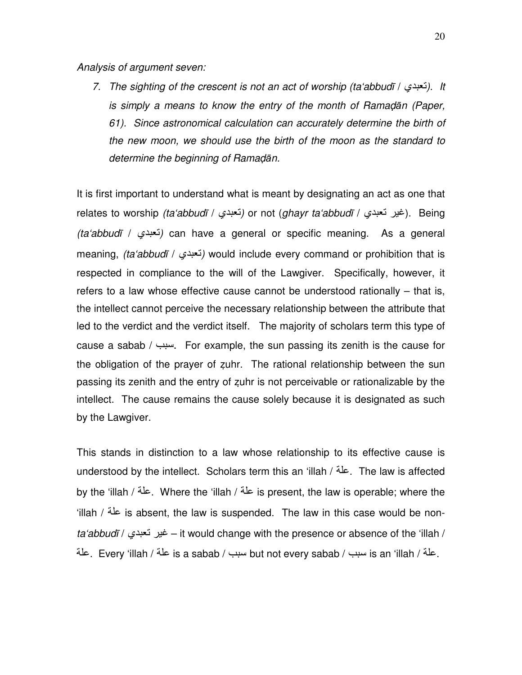Analysis of argument seven:

7. The sighting of the crescent is not an act of worship (ta'abbudī / أنعبدي). It is simply a means to know the entry of the month of Ramadan (Paper, 61). Since astronomical calculation can accurately determine the birth of the new moon, we should use the birth of the moon as the standard to determine the beginning of Ramadān.

It is first important to understand what is meant by designating an act as one that relates to worship *(taʻabbudī / تعبدي)* or not (*ghayr taʻabbudī / غير* تعبدي). Being (ta'abbudī / نعبدي) can have a general or specific meaning. As a general meaning, *(ta'abbudī / نعبدى)* would include every command or prohibition that is respected in compliance to the will of the Lawgiver. Specifically, however, it refers to a law whose effective cause cannot be understood rationally – that is, the intellect cannot perceive the necessary relationship between the attribute that led to the verdict and the verdict itself. The majority of scholars term this type of cause a sabab / سبب. For example, the sun passing its zenith is the cause for the obligation of the prayer of zuhr. The rational relationship between the sun passing its zenith and the entry of zuhr is not perceivable or rationalizable by the intellect. The cause remains the cause solely because it is designated as such by the Lawgiver.

This stands in distinction to a law whose relationship to its effective cause is understood by the intellect. Scholars term this an 'illah / علة. The law is affected by the 'illah / علة. Where the 'illah / علة. is present, the law is operable; where the 'illah / عَلَّة is absent, the law is suspended. The law in this case would be nonta'abbudī / غير نعبدي – it would change with the presence or absence of the 'illah / علة / is a sabab / سبب / but not every sabab / سبب / is an 'illah / علة .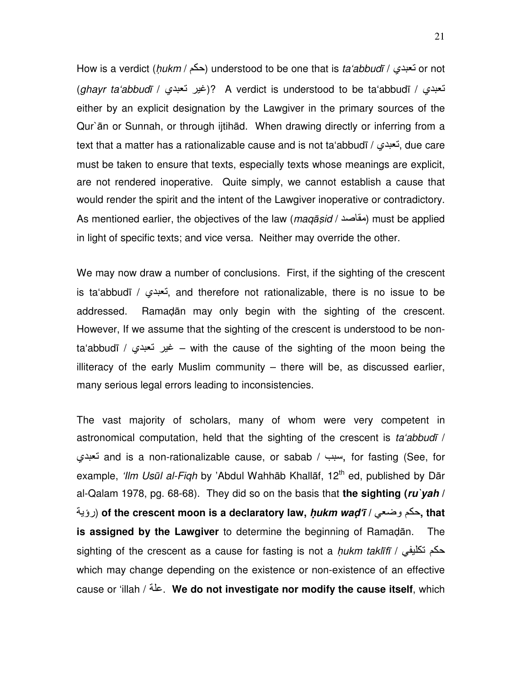How is a verdict (hukm / حكم) understood to be one that is ta'abbudī / خودي) or not (ahayr ta'abbudī / إغير تعبدي)? A verdict is understood to be ta'abbudī / نعبدي) either by an explicit designation by the Lawgiver in the primary sources of the Qur`ān or Sunnah, or through ijtihād. When drawing directly or inferring from a text that a matter has a rationalizable cause and is not ta'abbudī / أنعبدي, due care must be taken to ensure that texts, especially texts whose meanings are explicit, are not rendered inoperative. Quite simply, we cannot establish a cause that would render the spirit and the intent of the Lawgiver inoperative or contradictory. As mentioned earlier, the objectives of the law (maqasid / مقاصد) must be applied in light of specific texts; and vice versa. Neither may override the other.

We may now draw a number of conclusions. First, if the sighting of the crescent is ta'abbudī / تعبدى, and therefore not rationalizable, there is no issue to be addressed. Ramadān may only begin with the sighting of the crescent. However, If we assume that the sighting of the crescent is understood to be nonta'abbudī / غير نعبدى = with the cause of the sighting of the moon being the illiteracy of the early Muslim community – there will be, as discussed earlier, many serious legal errors leading to inconsistencies.

The vast majority of scholars, many of whom were very competent in astronomical computation, held that the sighting of the crescent is ta'abbudī / نعبدى and is a non-rationalizable cause, or sabab / سبب, for fasting (See, for example, 'Ilm Usūl al-Fiqh by 'Abdul Wahhāb Khallāf, 12<sup>th</sup> ed, published by Dār al-Qalam 1978, pg. 68-68). They did so on the basis that **the sighting (ru`yah /**  /رؤی(**of the crescent moon is a declaratory law, h**-**ukm wad'**ī **/** AT آم\$**, that is assigned by the Lawgiver** to determine the beginning of Ramadān. The sighting of the crescent as a cause for fasting is not a *hukm taklīfī / حكم* تكليفي which may change depending on the existence or non-existence of an effective cause or 'illah / /9. **We do not investigate nor modify the cause itself**, which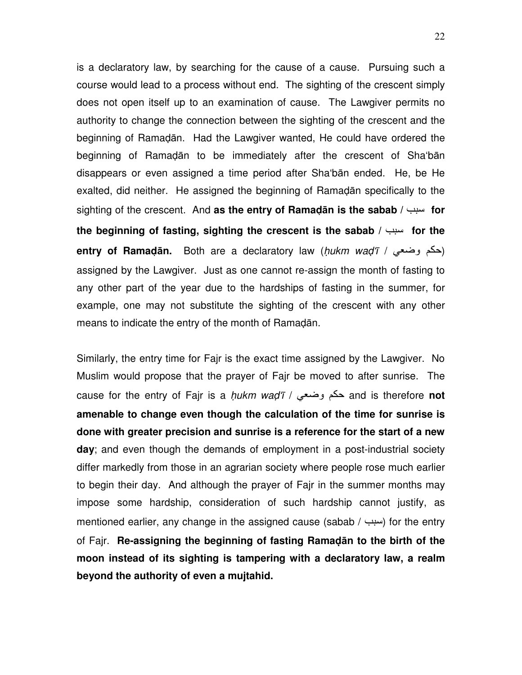is a declaratory law, by searching for the cause of a cause. Pursuing such a course would lead to a process without end. The sighting of the crescent simply does not open itself up to an examination of cause. The Lawgiver permits no authority to change the connection between the sighting of the crescent and the beginning of Ramadān. Had the Lawgiver wanted, He could have ordered the beginning of Ramadān to be immediately after the crescent of Sha'bān disappears or even assigned a time period after Sha'bān ended. He, be He exalted, did neither. He assigned the beginning of Ramadān specifically to the sighting of the crescent. And as the entry of Ramadan is the sabab / سبب for **the beginning of fasting, sighting the crescent is the sabab / سبب for the entry of Ramadān.** Both are a declaratory law (hukm wad'ī / حكم وضعي) assigned by the Lawgiver. Just as one cannot re-assign the month of fasting to any other part of the year due to the hardships of fasting in the summer, for example, one may not substitute the sighting of the crescent with any other means to indicate the entry of the month of Ramadān.

Similarly, the entry time for Fajr is the exact time assigned by the Lawgiver. No Muslim would propose that the prayer of Fajr be moved to after sunrise. The cause for the entry of Fajr is a *hukm wad'ī / حكم وضعي and is therefore not* **amenable to change even though the calculation of the time for sunrise is done with greater precision and sunrise is a reference for the start of a new day**; and even though the demands of employment in a post-industrial society differ markedly from those in an agrarian society where people rose much earlier to begin their day. And although the prayer of Fajr in the summer months may impose some hardship, consideration of such hardship cannot justify, as mentioned earlier, any change in the assigned cause (sabab /  $\mu$ ) for the entry of Fajr. **Re-assigning the beginning of fasting Ramad**ā**n to the birth of the moon instead of its sighting is tampering with a declaratory law, a realm beyond the authority of even a mujtahid.**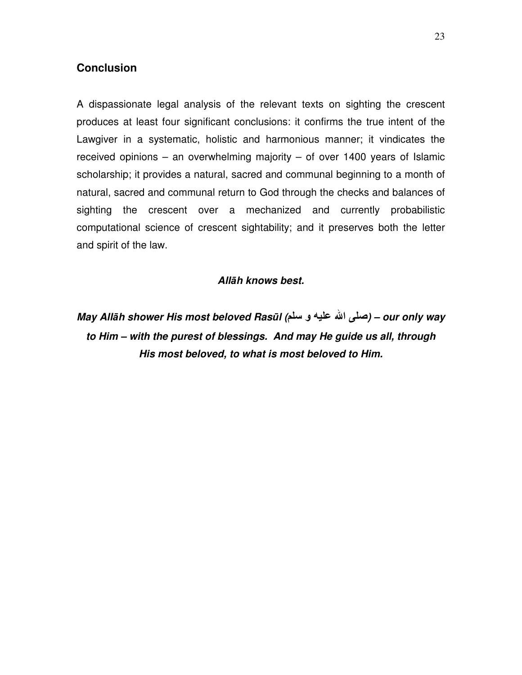## **Conclusion**

A dispassionate legal analysis of the relevant texts on sighting the crescent produces at least four significant conclusions: it confirms the true intent of the Lawgiver in a systematic, holistic and harmonious manner; it vindicates the received opinions – an overwhelming majority – of over 1400 years of Islamic scholarship; it provides a natural, sacred and communal beginning to a month of natural, sacred and communal return to God through the checks and balances of sighting the crescent over a mechanized and currently probabilistic computational science of crescent sightability; and it preserves both the letter and spirit of the law.

### **All**ā**h knows best.**

**May All**ā**h shower His most beloved Ras**ū**l (** و 
 ا  **– (our only way to Him – with the purest of blessings. And may He guide us all, through His most beloved, to what is most beloved to Him.**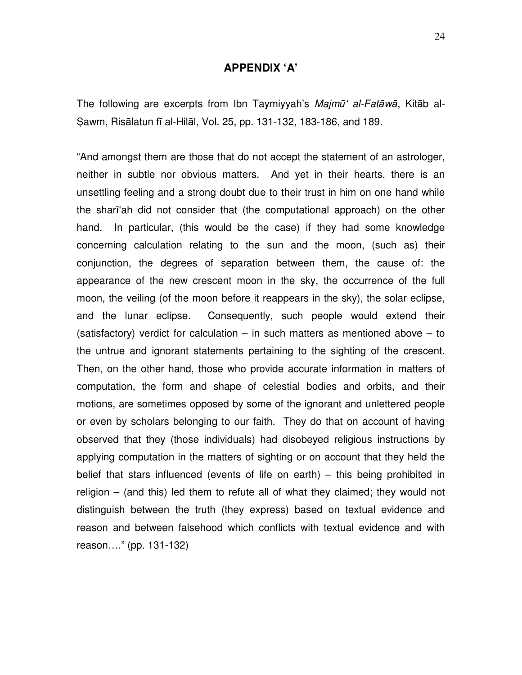#### **APPENDIX 'A'**

The following are excerpts from Ibn Taymiyyah's Majmū' al-Fatāwā, Kitāb al-Sawm, Risālatun fī al-Hilāl, Vol. 25, pp. 131-132, 183-186, and 189.

"And amongst them are those that do not accept the statement of an astrologer, neither in subtle nor obvious matters. And yet in their hearts, there is an unsettling feeling and a strong doubt due to their trust in him on one hand while the sharī'ah did not consider that (the computational approach) on the other hand. In particular, (this would be the case) if they had some knowledge concerning calculation relating to the sun and the moon, (such as) their conjunction, the degrees of separation between them, the cause of: the appearance of the new crescent moon in the sky, the occurrence of the full moon, the veiling (of the moon before it reappears in the sky), the solar eclipse, and the lunar eclipse. Consequently, such people would extend their (satisfactory) verdict for calculation – in such matters as mentioned above – to the untrue and ignorant statements pertaining to the sighting of the crescent. Then, on the other hand, those who provide accurate information in matters of computation, the form and shape of celestial bodies and orbits, and their motions, are sometimes opposed by some of the ignorant and unlettered people or even by scholars belonging to our faith. They do that on account of having observed that they (those individuals) had disobeyed religious instructions by applying computation in the matters of sighting or on account that they held the belief that stars influenced (events of life on earth) – this being prohibited in religion – (and this) led them to refute all of what they claimed; they would not distinguish between the truth (they express) based on textual evidence and reason and between falsehood which conflicts with textual evidence and with reason…." (pp. 131-132)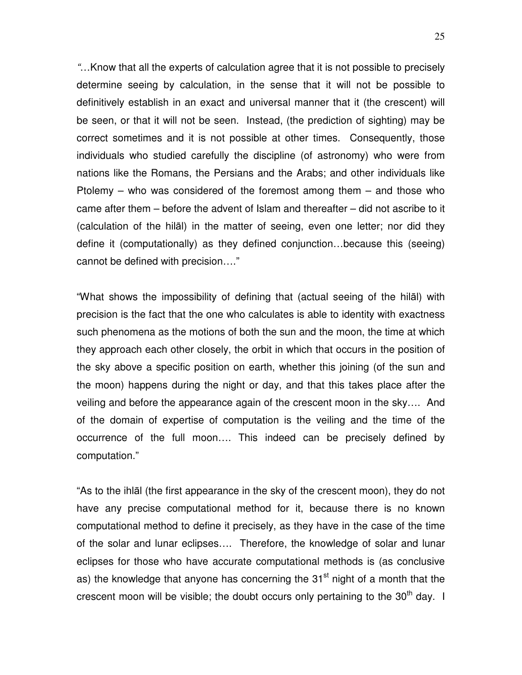"…Know that all the experts of calculation agree that it is not possible to precisely determine seeing by calculation, in the sense that it will not be possible to definitively establish in an exact and universal manner that it (the crescent) will be seen, or that it will not be seen. Instead, (the prediction of sighting) may be correct sometimes and it is not possible at other times. Consequently, those individuals who studied carefully the discipline (of astronomy) who were from nations like the Romans, the Persians and the Arabs; and other individuals like Ptolemy – who was considered of the foremost among them – and those who came after them – before the advent of Islam and thereafter – did not ascribe to it (calculation of the hilāl) in the matter of seeing, even one letter; nor did they define it (computationally) as they defined conjunction…because this (seeing) cannot be defined with precision…."

"What shows the impossibility of defining that (actual seeing of the hilāl) with precision is the fact that the one who calculates is able to identity with exactness such phenomena as the motions of both the sun and the moon, the time at which they approach each other closely, the orbit in which that occurs in the position of the sky above a specific position on earth, whether this joining (of the sun and the moon) happens during the night or day, and that this takes place after the veiling and before the appearance again of the crescent moon in the sky…. And of the domain of expertise of computation is the veiling and the time of the occurrence of the full moon…. This indeed can be precisely defined by computation."

"As to the ihlāl (the first appearance in the sky of the crescent moon), they do not have any precise computational method for it, because there is no known computational method to define it precisely, as they have in the case of the time of the solar and lunar eclipses…. Therefore, the knowledge of solar and lunar eclipses for those who have accurate computational methods is (as conclusive as) the knowledge that anyone has concerning the  $31<sup>st</sup>$  night of a month that the crescent moon will be visible; the doubt occurs only pertaining to the  $30<sup>th</sup>$  day. I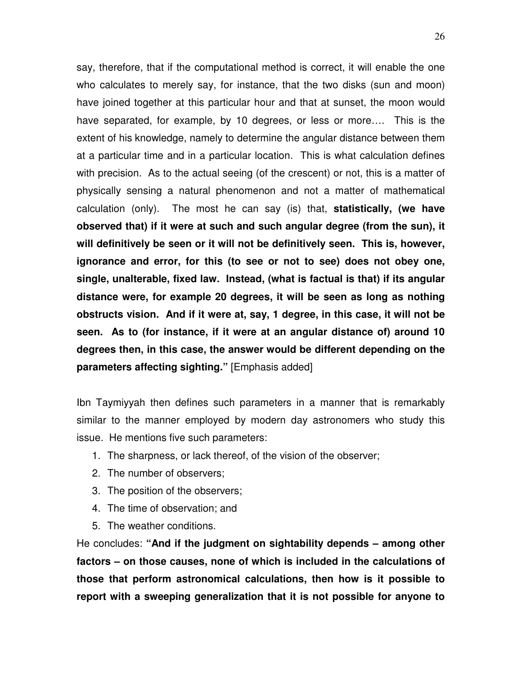say, therefore, that if the computational method is correct, it will enable the one who calculates to merely say, for instance, that the two disks (sun and moon) have joined together at this particular hour and that at sunset, the moon would have separated, for example, by 10 degrees, or less or more…. This is the extent of his knowledge, namely to determine the angular distance between them at a particular time and in a particular location. This is what calculation defines with precision. As to the actual seeing (of the crescent) or not, this is a matter of physically sensing a natural phenomenon and not a matter of mathematical calculation (only). The most he can say (is) that, **statistically, (we have observed that) if it were at such and such angular degree (from the sun), it will definitively be seen or it will not be definitively seen. This is, however, ignorance and error, for this (to see or not to see) does not obey one, single, unalterable, fixed law. Instead, (what is factual is that) if its angular distance were, for example 20 degrees, it will be seen as long as nothing obstructs vision. And if it were at, say, 1 degree, in this case, it will not be seen. As to (for instance, if it were at an angular distance of) around 10 degrees then, in this case, the answer would be different depending on the parameters affecting sighting."** [Emphasis added]

Ibn Taymiyyah then defines such parameters in a manner that is remarkably similar to the manner employed by modern day astronomers who study this issue. He mentions five such parameters:

- 1. The sharpness, or lack thereof, of the vision of the observer;
- 2. The number of observers;
- 3. The position of the observers;
- 4. The time of observation; and
- 5. The weather conditions.

He concludes: **"And if the judgment on sightability depends – among other factors – on those causes, none of which is included in the calculations of those that perform astronomical calculations, then how is it possible to report with a sweeping generalization that it is not possible for anyone to**